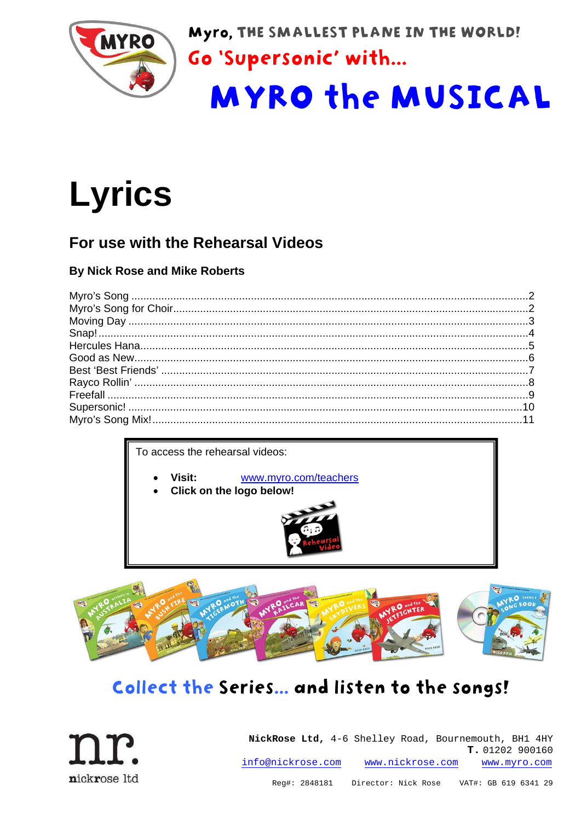

Myro, THE SMALLEST PLANE IN THE WORLD!

Go 'Supersonic' with...

# **MYRO the MUSICAL**

# **Lyrics**

### For use with the Rehearsal Videos

#### **By Nick Rose and Mike Roberts**

To access the rehearsal videos:

- Visit: www.myro.com/teachers
- Click on the logo below!





# Collect the Series... and listen to the songs!

nickrose ltd

NickRose Ltd, 4-6 Shelley Road, Bournemouth, BH1 4HY T. 01202 900160 info@nickrose.com www.nickrose.com www.myro.com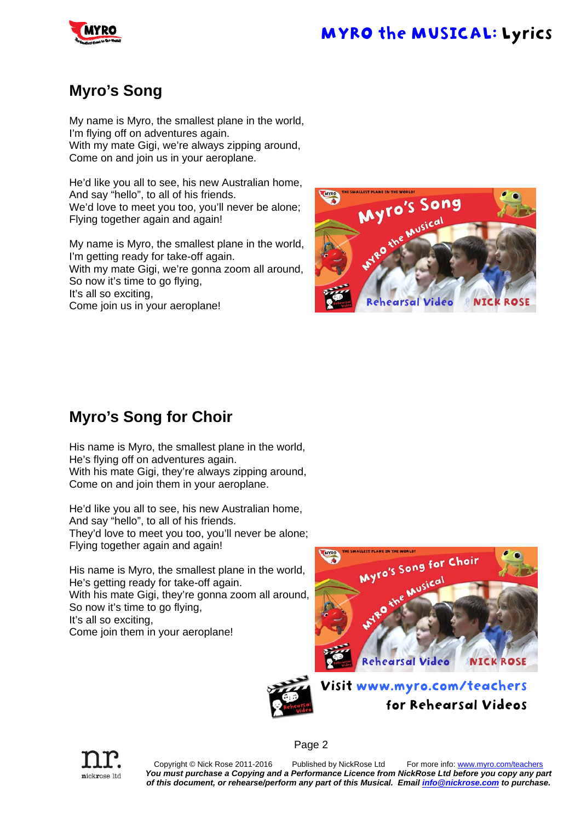

#### **Myro's Song**

My name is Myro, the smallest plane in the world, I'm flying off on adventures again. With my mate Gigi, we're always zipping around, Come on and join us in your aeroplane.

He'd like you all to see, his new Australian home, And say "hello", to all of his friends. We'd love to meet you too, you'll never be alone; Flying together again and again!

My name is Myro, the smallest plane in the world, I'm getting ready for take-off again.

With my mate Gigi, we're gonna zoom all around, So now it's time to go flying,

It's all so exciting,

Come join us in your aeroplane!



#### **Myro's Song for Choir**

His name is Myro, the smallest plane in the world, He's flying off on adventures again. With his mate Gigi, they're always zipping around, Come on and join them in your aeroplane.

He'd like you all to see, his new Australian home, And say "hello", to all of his friends. They'd love to meet you too, you'll never be alone; Flying together again and again!

His name is Myro, the smallest plane in the world, He's getting ready for take-off again. With his mate Gigi, they're gonna zoom all around, So now it's time to go flying, It's all so exciting,

Come join them in your aeroplane!







Copyright © Nick Rose 2011-2016 Published by NickRose Ltd For more info: www.myro.com/teachers *You must purchase a Copying and a Performance Licence from NickRose Ltd before you copy any part of this document, or rehearse/perform any part of this Musical. Email info@nickrose.com to purchase.* 

Page 2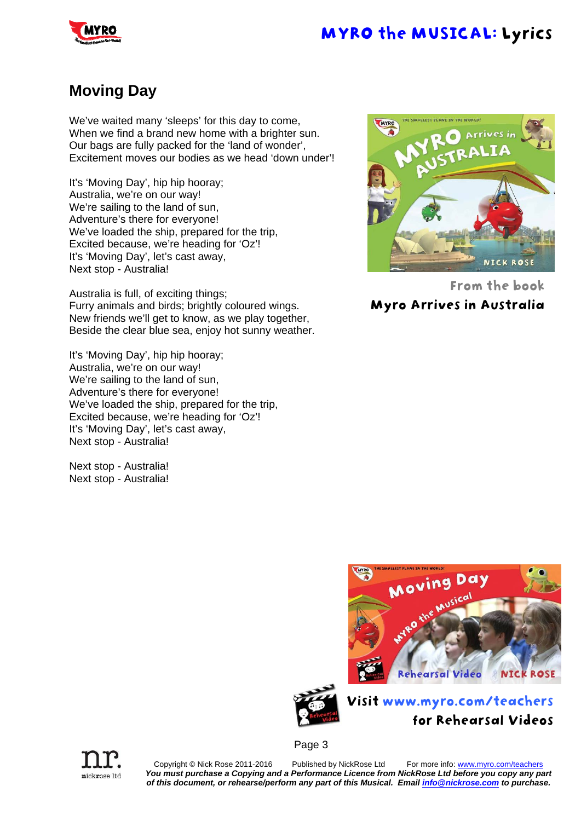### **Moving Day**

We've waited many 'sleeps' for this day to come, When we find a brand new home with a brighter sun. Our bags are fully packed for the 'land of wonder', Excitement moves our bodies as we head 'down under'!

It's 'Moving Day', hip hip hooray; Australia, we're on our way! We're sailing to the land of sun, Adventure's there for everyone! We've loaded the ship, prepared for the trip, Excited because, we're heading for 'Oz'! It's 'Moving Day', let's cast away, Next stop - Australia!

Australia is full, of exciting things; Furry animals and birds; brightly coloured wings. New friends we'll get to know, as we play together, Beside the clear blue sea, enjoy hot sunny weather.

It's 'Moving Day', hip hip hooray; Australia, we're on our way! We're sailing to the land of sun. Adventure's there for everyone! We've loaded the ship, prepared for the trip. Excited because, we're heading for 'Oz'! It's 'Moving Day', let's cast away, Next stop - Australia!

Next stop - Australia! Next stop - Australia!



From the book

Myro Arrives in Australia







Copyright © Nick Rose 2011-2016 Published by NickRose Ltd For more info: www.myro.com/teachers *You must purchase a Copying and a Performance Licence from NickRose Ltd before you copy any part of this document, or rehearse/perform any part of this Musical. Email info@nickrose.com to purchase.* 

nickrose ltd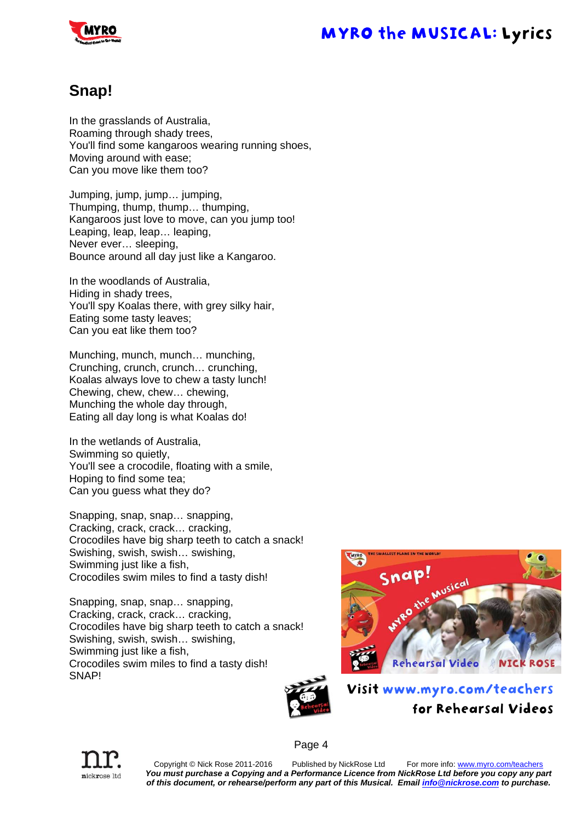

#### **Snap!**

In the grasslands of Australia, Roaming through shady trees, You'll find some kangaroos wearing running shoes, Moving around with ease; Can you move like them too?

Jumping, jump, jump… jumping, Thumping, thump, thump… thumping, Kangaroos just love to move, can you jump too! Leaping, leap, leap… leaping, Never ever… sleeping, Bounce around all day just like a Kangaroo.

In the woodlands of Australia, Hiding in shady trees, You'll spy Koalas there, with grey silky hair, Eating some tasty leaves; Can you eat like them too?

Munching, munch, munch… munching, Crunching, crunch, crunch… crunching, Koalas always love to chew a tasty lunch! Chewing, chew, chew… chewing, Munching the whole day through, Eating all day long is what Koalas do!

In the wetlands of Australia, Swimming so quietly, You'll see a crocodile, floating with a smile, Hoping to find some tea; Can you guess what they do?

Snapping, snap, snap… snapping, Cracking, crack, crack… cracking, Crocodiles have big sharp teeth to catch a snack! Swishing, swish, swish… swishing, Swimming just like a fish, Crocodiles swim miles to find a tasty dish!

Snapping, snap, snap… snapping, Cracking, crack, crack… cracking, Crocodiles have big sharp teeth to catch a snack! Swishing, swish, swish… swishing, Swimming just like a fish, Crocodiles swim miles to find a tasty dish! SNAP!





Page 4

Visit www.myro.com/teachers for Rehearsal Videos

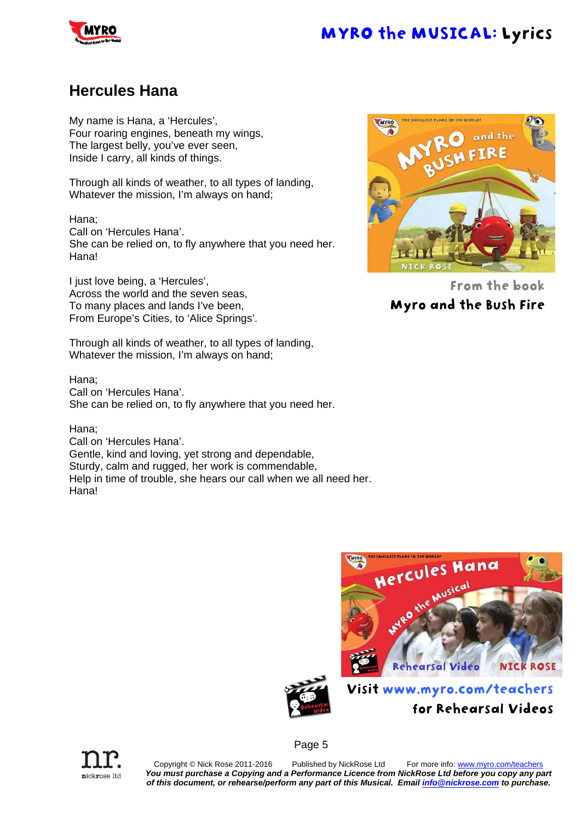#### **Hercules Hana**

My name is Hana, a 'Hercules', Four roaring engines, beneath my wings, The largest belly, you've ever seen, Inside I carry, all kinds of things.

Through all kinds of weather, to all types of landing, Whatever the mission, I'm always on hand;

Hana; Call on 'Hercules Hana'. She can be relied on, to fly anywhere that you need her. Hana!

I just love being, a 'Hercules', Across the world and the seven seas, To many places and lands I've been, From Europe's Cities, to 'Alice Springs'.

Through all kinds of weather, to all types of landing, Whatever the mission, I'm always on hand;

Hana; Call on 'Hercules Hana'. She can be relied on, to fly anywhere that you need her.

Hana;

Call on 'Hercules Hana'. Gentle, kind and loving, yet strong and dependable, Sturdy, calm and rugged, her work is commendable, Help in time of trouble, she hears our call when we all need her. Hana!



From the book Myro and the Bush Fire



for Rehearsal Videos





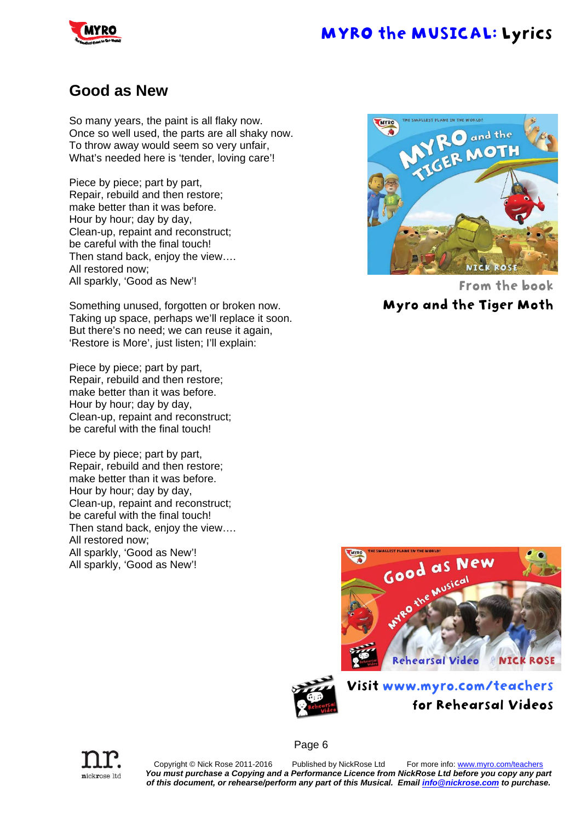

#### **Good as New**

So many years, the paint is all flaky now. Once so well used, the parts are all shaky now. To throw away would seem so very unfair, What's needed here is 'tender, loving care'!

Piece by piece; part by part, Repair, rebuild and then restore; make better than it was before. Hour by hour; day by day, Clean-up, repaint and reconstruct; be careful with the final touch! Then stand back, enjoy the view…. All restored now; All sparkly, 'Good as New'!

Something unused, forgotten or broken now. Taking up space, perhaps we'll replace it soon. But there's no need; we can reuse it again, 'Restore is More', just listen; I'll explain:

Piece by piece; part by part, Repair, rebuild and then restore; make better than it was before. Hour by hour; day by day, Clean-up, repaint and reconstruct; be careful with the final touch!

Piece by piece; part by part, Repair, rebuild and then restore; make better than it was before. Hour by hour; day by day, Clean-up, repaint and reconstruct; be careful with the final touch! Then stand back, enjoy the view…. All restored now; All sparkly, 'Good as New'! All sparkly, 'Good as New'!

nickrose ltd



From the book

Myro and the Tiger Moth





Visit www.myro.com/teachers for Rehearsal Videos

Page 6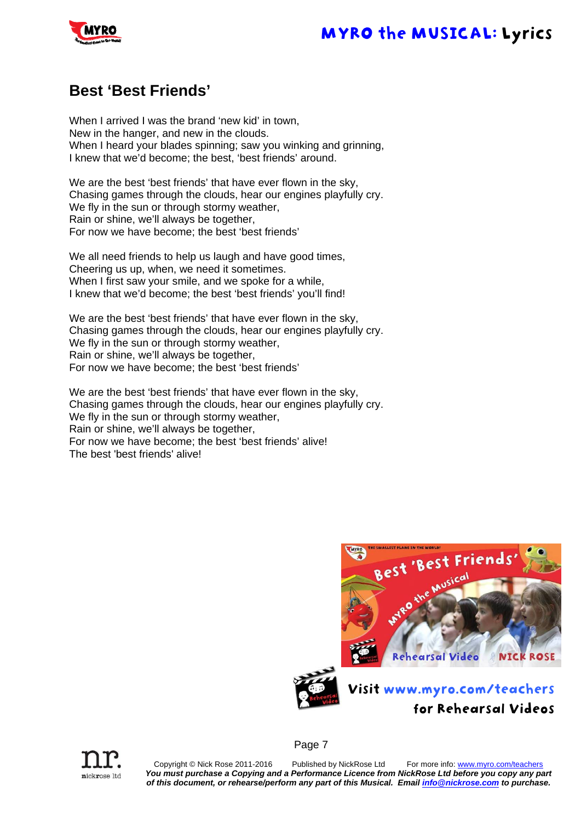

#### **Best 'Best Friends'**

When I arrived I was the brand 'new kid' in town, New in the hanger, and new in the clouds. When I heard your blades spinning; saw you winking and grinning, I knew that we'd become; the best, 'best friends' around.

We are the best 'best friends' that have ever flown in the sky, Chasing games through the clouds, hear our engines playfully cry. We fly in the sun or through stormy weather, Rain or shine, we'll always be together, For now we have become; the best 'best friends'

We all need friends to help us laugh and have good times, Cheering us up, when, we need it sometimes. When I first saw your smile, and we spoke for a while, I knew that we'd become; the best 'best friends' you'll find!

We are the best 'best friends' that have ever flown in the sky, Chasing games through the clouds, hear our engines playfully cry. We fly in the sun or through stormy weather, Rain or shine, we'll always be together, For now we have become; the best 'best friends'

We are the best 'best friends' that have ever flown in the sky, Chasing games through the clouds, hear our engines playfully cry. We fly in the sun or through stormy weather, Rain or shine, we'll always be together, For now we have become; the best 'best friends' alive! The best 'best friends' alive!





Page 7



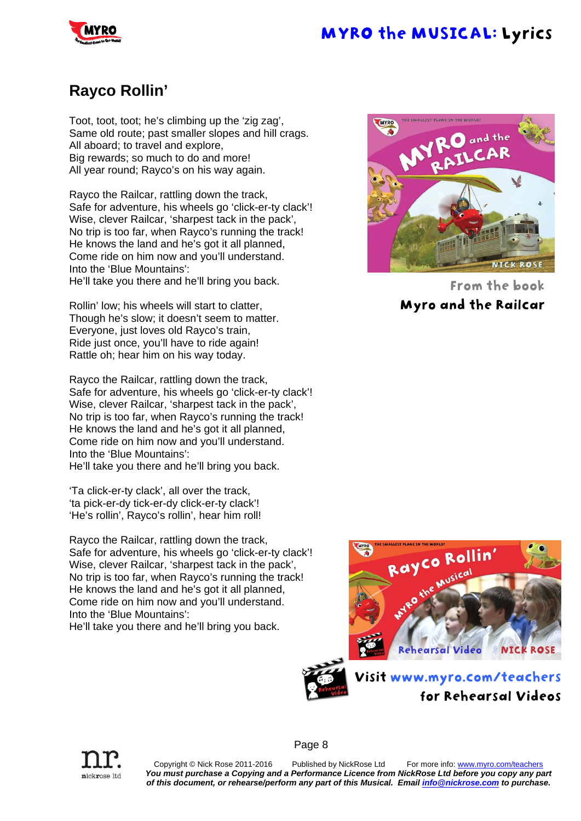

#### **Rayco Rollin'**

Toot, toot, toot; he's climbing up the 'zig zag', Same old route; past smaller slopes and hill crags. All aboard; to travel and explore, Big rewards; so much to do and more! All year round; Rayco's on his way again.

Rayco the Railcar, rattling down the track, Safe for adventure, his wheels go 'click-er-ty clack'! Wise, clever Railcar, 'sharpest tack in the pack', No trip is too far, when Rayco's running the track! He knows the land and he's got it all planned, Come ride on him now and you'll understand. Into the 'Blue Mountains': He'll take you there and he'll bring you back.

Rollin' low; his wheels will start to clatter, Though he's slow; it doesn't seem to matter. Everyone, just loves old Rayco's train, Ride just once, you'll have to ride again! Rattle oh; hear him on his way today.

Rayco the Railcar, rattling down the track, Safe for adventure, his wheels go 'click-er-ty clack'! Wise, clever Railcar, 'sharpest tack in the pack', No trip is too far, when Rayco's running the track! He knows the land and he's got it all planned, Come ride on him now and you'll understand. Into the 'Blue Mountains': He'll take you there and he'll bring you back.

'Ta click-er-ty clack', all over the track, 'ta pick-er-dy tick-er-dy click-er-ty clack'! 'He's rollin', Rayco's rollin', hear him roll!

Rayco the Railcar, rattling down the track, Safe for adventure, his wheels go 'click-er-ty clack'! Wise, clever Railcar, 'sharpest tack in the pack', No trip is too far, when Rayco's running the track! He knows the land and he's got it all planned, Come ride on him now and you'll understand. Into the 'Blue Mountains':

He'll take you there and he'll bring you back.



From the book Myro and the Railcar







Page 8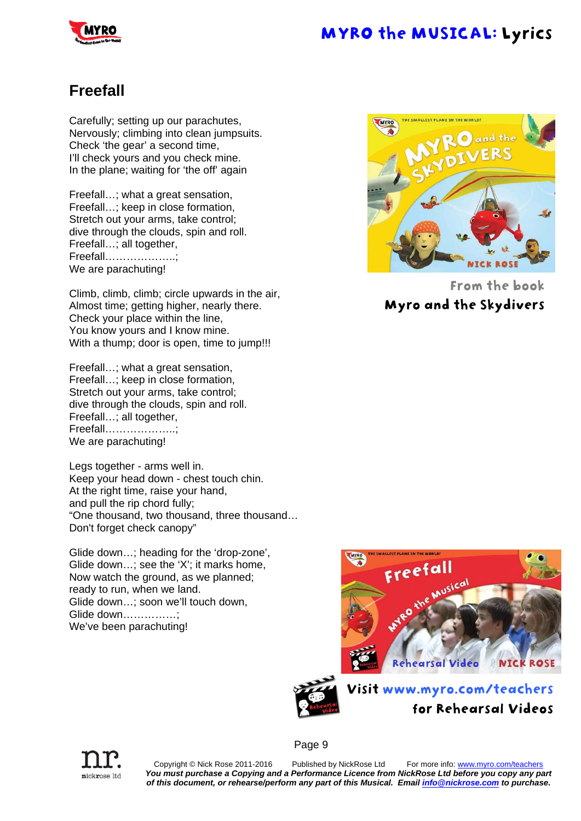

#### **Freefall**

Carefully; setting up our parachutes, Nervously; climbing into clean jumpsuits. Check 'the gear' a second time, I'll check yours and you check mine. In the plane; waiting for 'the off' again

Freefall…; what a great sensation, Freefall…; keep in close formation, Stretch out your arms, take control; dive through the clouds, spin and roll. Freefall…; all together, Freefall………………..; We are parachuting!

Climb, climb, climb; circle upwards in the air, Almost time; getting higher, nearly there. Check your place within the line, You know yours and I know mine. With a thump; door is open, time to jump!!!

Freefall…; what a great sensation, Freefall…; keep in close formation, Stretch out your arms, take control; dive through the clouds, spin and roll. Freefall…; all together, Freefall………………..; We are parachuting!

Legs together - arms well in. Keep your head down - chest touch chin. At the right time, raise your hand, and pull the rip chord fully; "One thousand, two thousand, three thousand… Don't forget check canopy"

Glide down…; heading for the 'drop-zone', Glide down…; see the 'X'; it marks home, Now watch the ground, as we planned; ready to run, when we land. Glide down…; soon we'll touch down, Glide down…………; We've been parachuting!



From the book Myro and the Skydivers





Visit www.myro.com/teachers for Rehearsal Videos



Page 9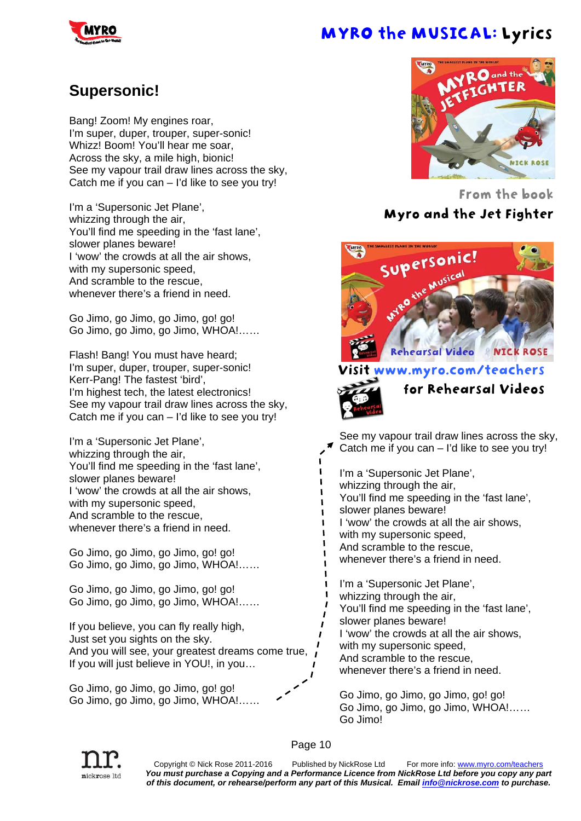#### **Supersonic!**

Bang! Zoom! My engines roar, I'm super, duper, trouper, super-sonic! Whizz! Boom! You'll hear me soar. Across the sky, a mile high, bionic! See my vapour trail draw lines across the sky, Catch me if you can – I'd like to see you try!

I'm a 'Supersonic Jet Plane', whizzing through the air. You'll find me speeding in the 'fast lane', slower planes beware! I 'wow' the crowds at all the air shows, with my supersonic speed, And scramble to the rescue, whenever there's a friend in need.

Go Jimo, go Jimo, go Jimo, go! go! Go Jimo, go Jimo, go Jimo, WHOA!……

Flash! Bang! You must have heard; I'm super, duper, trouper, super-sonic! Kerr-Pang! The fastest 'bird', I'm highest tech, the latest electronics! See my vapour trail draw lines across the sky, Catch me if you can – I'd like to see you try!

I'm a 'Supersonic Jet Plane', whizzing through the air, You'll find me speeding in the 'fast lane', slower planes beware! I 'wow' the crowds at all the air shows, with my supersonic speed, And scramble to the rescue, whenever there's a friend in need.

Go Jimo, go Jimo, go Jimo, go! go! Go Jimo, go Jimo, go Jimo, WHOA!……

Go Jimo, go Jimo, go Jimo, go! go! Go Jimo, go Jimo, go Jimo, WHOA!……

If you believe, you can fly really high, Just set you sights on the sky. And you will see, your greatest dreams come true,  $\vec{l}$ If you will just believe in YOU!, in you…

Go Jimo, go Jimo, go Jimo, go! go! Go Jimo, go Jimo, go Jimo, WHOA!……



From the book Myro and the Jet Fighter



#### ww.myro.com/teachers



 $\blacksquare$  $\blacksquare$ 

 $\blacksquare$ 

for Rehearsal Videos

See my vapour trail draw lines across the sky, Catch me if you can – I'd like to see you try! I'm a 'Supersonic Jet Plane', whizzing through the air, You'll find me speeding in the 'fast lane', slower planes beware! I 'wow' the crowds at all the air shows, with my supersonic speed. And scramble to the rescue, whenever there's a friend in need. I'm a 'Supersonic Jet Plane', whizzing through the air, You'll find me speeding in the 'fast lane', slower planes beware! I 'wow' the crowds at all the air shows, with my supersonic speed. And scramble to the rescue, whenever there's a friend in need.

Go Jimo, go Jimo, go Jimo, go! go! Go Jimo, go Jimo, go Jimo, WHOA!…… Go Jimo!



Copyright © Nick Rose 2011-2016 Published by NickRose Ltd For more info: www.myro.com/teachers *You must purchase a Copying and a Performance Licence from NickRose Ltd before you copy any part of this document, or rehearse/perform any part of this Musical. Email info@nickrose.com to purchase.* 

Page 10